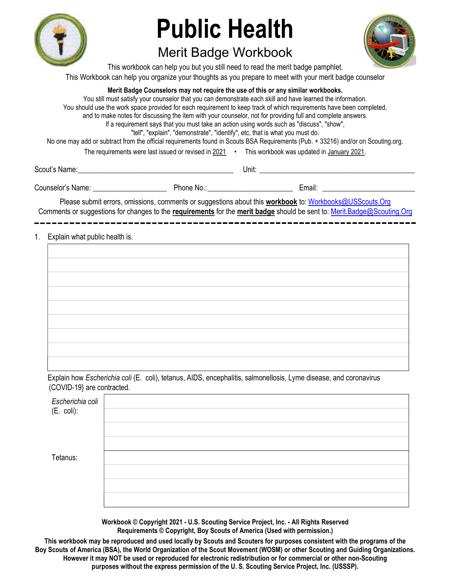

# Public Health

## Merit Badge Workbook



This workbook can help you but you still need to read the merit badge pamphlet. This Workbook can help you organize your thoughts as you prepare to meet with your merit badge counselor

#### Merit Badge Counselors may not require the use of this or any similar workbooks.

You still must satisfy your counselor that you can demonstrate each skill and have learned the information. You should use the work space provided for each requirement to keep track of which requirements have been completed, and to make notes for discussing the item with your counselor, not for providing full and complete answers. If a requirement says that you must take an action using words such as "discuss", "show", "tell", "explain", "demonstrate", "identify", etc, that is what you must do. No one may add or subtract from the official requirements found in Scouts BSA Requirements (Pub. + 33216) and/or on Scouting.org. The requirements were last issued or revised in 2021 • This workbook was updated in January 2021.

Scout's Name: \_\_\_\_\_\_\_\_\_\_\_\_\_\_\_\_\_\_\_\_\_\_\_\_\_\_\_\_\_\_\_\_\_\_\_\_\_\_\_\_\_\_ Unit: \_\_\_\_\_\_\_\_\_\_\_\_\_\_\_\_\_\_\_\_\_\_\_\_\_\_\_\_\_\_\_\_\_\_\_\_\_\_\_\_\_\_

Counselor's Name: \_\_\_\_\_\_\_\_\_\_\_\_\_\_\_\_\_\_\_\_ Phone No.: \_\_\_\_\_\_\_\_\_\_\_\_\_\_\_\_\_\_\_\_\_\_\_ Email: \_\_\_\_\_\_\_\_\_\_\_\_\_\_\_\_\_\_\_\_\_\_\_\_\_

Please submit errors, omissions, comments or suggestions about this workbook to: Workbooks@USScouts.Org Comments or suggestions for changes to the requirements for the merit badge should be sent to: Merit.Badge@Scouting.Org 

#### 1. Explain what public health is.

| the control of the control of the control of the |  |
|--------------------------------------------------|--|
|                                                  |  |
|                                                  |  |
|                                                  |  |
|                                                  |  |
|                                                  |  |
|                                                  |  |
|                                                  |  |
|                                                  |  |
|                                                  |  |
|                                                  |  |

Explain how Escherichia coli (E. coli), tetanus, AIDS, encephalitis, salmonellosis, Lyme disease, and coronavirus (COVID-19} are contracted.

| Escherichia coli<br>(E. coli): |  |
|--------------------------------|--|
|                                |  |
| Tetanus:                       |  |
|                                |  |
|                                |  |
|                                |  |

Workbook © Copyright 2021 - U.S. Scouting Service Project, Inc. - All Rights Reserved Requirements © Copyright, Boy Scouts of America (Used with permission.)

This workbook may be reproduced and used locally by Scouts and Scouters for purposes consistent with the programs of the Boy Scouts of America (BSA), the World Organization of the Scout Movement (WOSM) or other Scouting and Guiding Organizations. However it may NOT be used or reproduced for electronic redistribution or for commercial or other non-Scouting purposes without the express permission of the U. S. Scouting Service Project, Inc. (USSSP).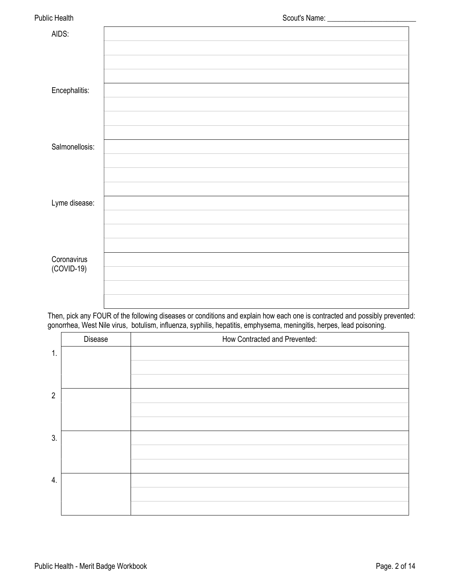| <b>Public Health</b> |  |  |
|----------------------|--|--|
|                      |  |  |

| AIDS:                       |  |
|-----------------------------|--|
|                             |  |
|                             |  |
| Encephalitis:               |  |
|                             |  |
|                             |  |
|                             |  |
| Salmonellosis:              |  |
|                             |  |
|                             |  |
| Lyme disease:               |  |
|                             |  |
|                             |  |
|                             |  |
| Coronavirus<br>$(COVID-19)$ |  |
|                             |  |
|                             |  |
|                             |  |

Then, pick any FOUR of the following diseases or conditions and explain how each one is contracted and possibly prevented: gonorrhea, West Nile virus, botulism, influenza, syphilis, hepatitis, emphysema, meningitis, herpes, lead poisoning.

|                | Disease | How Contracted and Prevented: |
|----------------|---------|-------------------------------|
| 1.             |         |                               |
|                |         |                               |
|                |         |                               |
| $\overline{2}$ |         |                               |
|                |         |                               |
|                |         |                               |
| 3.             |         |                               |
|                |         |                               |
|                |         |                               |
| 4.             |         |                               |
|                |         |                               |
|                |         |                               |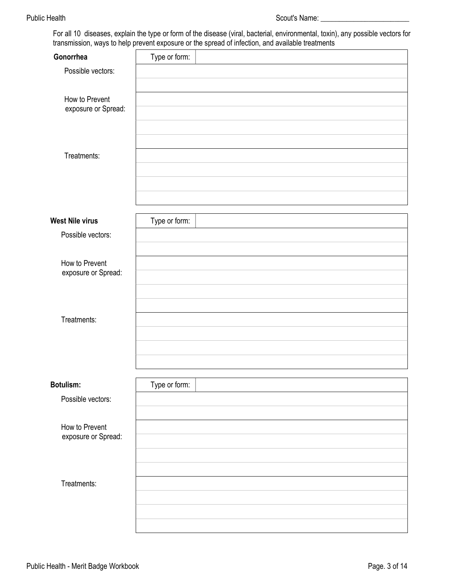For all 10 diseases, explain the type or form of the disease (viral, bacterial, environmental, toxin), any possible vectors for transmission, ways to help prevent exposure or the spread of infection, and available treatments

| Gonorrhea           | Type or form: |  |
|---------------------|---------------|--|
| Possible vectors:   |               |  |
|                     |               |  |
| How to Prevent      |               |  |
| exposure or Spread: |               |  |
|                     |               |  |
|                     |               |  |
| Treatments:         |               |  |
|                     |               |  |
|                     |               |  |
|                     |               |  |
| West Nile virus     | Type or form: |  |
| Possible vectors:   |               |  |
|                     |               |  |
| How to Prevent      |               |  |
| exposure or Spread: |               |  |
|                     |               |  |
|                     |               |  |
| Treatments:         |               |  |
|                     |               |  |
|                     |               |  |
|                     |               |  |
|                     |               |  |
| Botulism:           | Type or form: |  |
| Possible vectors:   |               |  |
|                     |               |  |
| How to Prevent      |               |  |
| exposure or Spread: |               |  |
|                     |               |  |
|                     |               |  |
| Treatments:         |               |  |
|                     |               |  |
|                     |               |  |
|                     |               |  |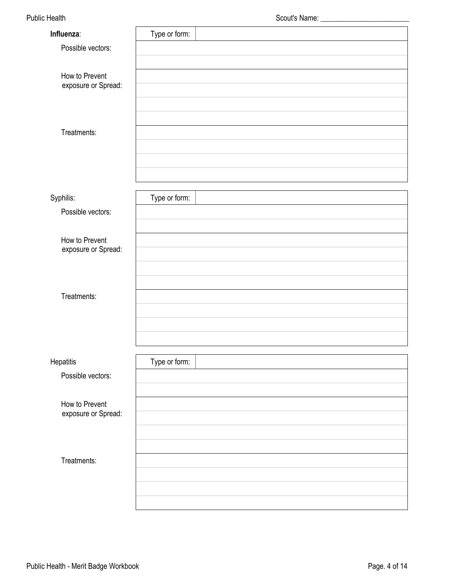| Possible vectors:<br>How to Prevent<br>exposure or Spread: |
|------------------------------------------------------------|
|                                                            |
|                                                            |
|                                                            |
|                                                            |
|                                                            |
|                                                            |
| Treatments:                                                |
|                                                            |
|                                                            |
|                                                            |
|                                                            |
| Type or form:<br>Syphilis:                                 |
| Possible vectors:                                          |
|                                                            |
| How to Prevent<br>exposure or Spread:                      |
|                                                            |
|                                                            |
|                                                            |
| Treatments:                                                |
|                                                            |
|                                                            |
|                                                            |
| Type or form:<br>Hepatitis                                 |
| Possible vectors:                                          |
|                                                            |
| How to Prevent                                             |
| exposure or Spread:                                        |
|                                                            |
|                                                            |
| Treatments:                                                |
|                                                            |
|                                                            |
|                                                            |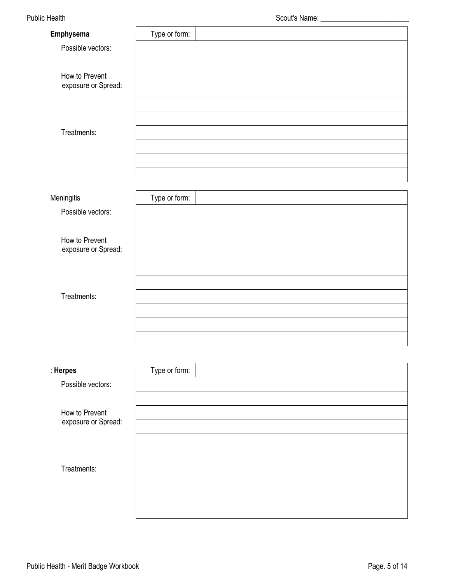| Emphysema                             | Type or form: |  |
|---------------------------------------|---------------|--|
| Possible vectors:                     |               |  |
|                                       |               |  |
| How to Prevent                        |               |  |
| exposure or Spread:                   |               |  |
|                                       |               |  |
|                                       |               |  |
| Treatments:                           |               |  |
|                                       |               |  |
|                                       |               |  |
|                                       |               |  |
|                                       |               |  |
| Meningitis                            | Type or form: |  |
| Possible vectors:                     |               |  |
|                                       |               |  |
| How to Prevent<br>exposure or Spread: |               |  |
|                                       |               |  |
|                                       |               |  |
| Treatments:                           |               |  |
|                                       |               |  |
|                                       |               |  |
|                                       |               |  |
|                                       |               |  |
|                                       |               |  |
| : Herpes                              | Type or form: |  |
| Possible vectors:                     |               |  |
|                                       |               |  |
| How to Prevent<br>exposure or Spread: |               |  |
|                                       |               |  |
|                                       |               |  |
|                                       |               |  |
| Treatments:                           |               |  |
|                                       |               |  |
|                                       |               |  |
|                                       |               |  |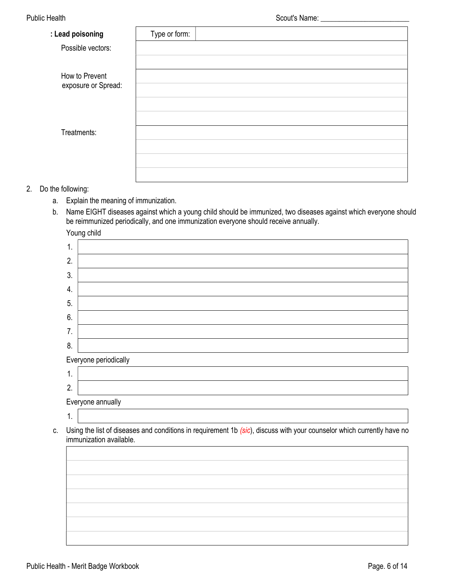| : Lead poisoning                      | Type or form: |
|---------------------------------------|---------------|
| Possible vectors:                     |               |
|                                       |               |
| How to Prevent<br>exposure or Spread: |               |
|                                       |               |
|                                       |               |
|                                       |               |
| Treatments:                           |               |
|                                       |               |
|                                       |               |
|                                       |               |

- 2. Do the following:
	- a. Explain the meaning of immunization.
	- b. Name EIGHT diseases against which a young child should be immunized, two diseases against which everyone should be reimmunized periodically, and one immunization everyone should receive annually.

Young child

| 1. |                       |
|----|-----------------------|
| 2. |                       |
| 3. |                       |
| 4. |                       |
| 5. |                       |
| 6. |                       |
| 7. |                       |
| 8. |                       |
|    | Everyone periodically |
| 1. |                       |
| 2. |                       |
|    | Everyone annually     |
| ι. |                       |

c. Using the list of diseases and conditions in requirement 1b (sic), discuss with your counselor which currently have no immunization available.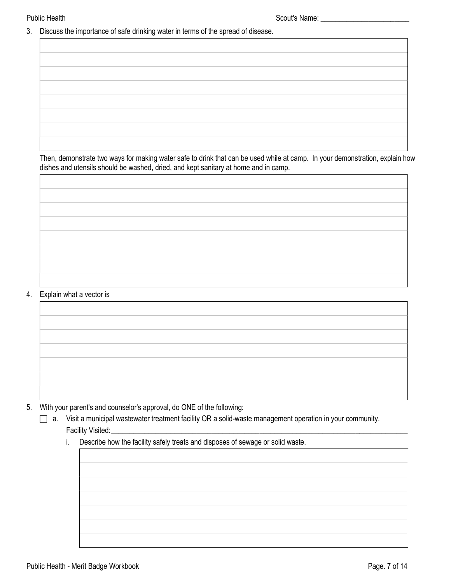3. Discuss the importance of safe drinking water in terms of the spread of disease.

Then, demonstrate two ways for making water safe to drink that can be used while at camp. In your demonstration, explain how dishes and utensils should be washed, dried, and kept sanitary at home and in camp.

#### 4. Explain what a vector is

5. With your parent's and counselor's approval, do ONE of the following:

- a. Visit a municipal wastewater treatment facility OR a solid-waste management operation in your community. Facility Visited:
	- i. Describe how the facility safely treats and disposes of sewage or solid waste.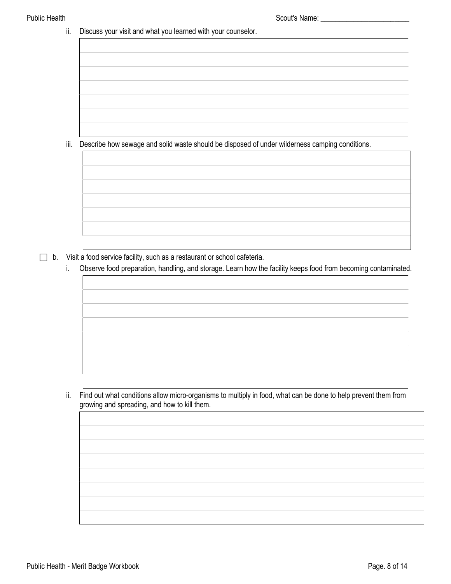ii. Discuss your visit and what you learned with your counselor.

iii. Describe how sewage and solid waste should be disposed of under wilderness camping conditions.



i. Observe food preparation, handling, and storage. Learn how the facility keeps food from becoming contaminated.

ii. Find out what conditions allow micro-organisms to multiply in food, what can be done to help prevent them from growing and spreading, and how to kill them.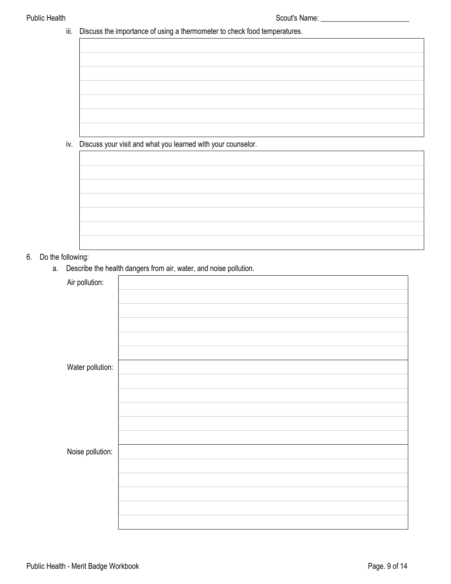|  | iii. Discuss the importance of using a thermometer to check food temperatures. |
|--|--------------------------------------------------------------------------------|
|  |                                                                                |

| iv. Discuss your visit and what you learned with your counselor. |  |
|------------------------------------------------------------------|--|
|                                                                  |  |
|                                                                  |  |
|                                                                  |  |
|                                                                  |  |
|                                                                  |  |
|                                                                  |  |
|                                                                  |  |
|                                                                  |  |
|                                                                  |  |
|                                                                  |  |
|                                                                  |  |
|                                                                  |  |
|                                                                  |  |
|                                                                  |  |
|                                                                  |  |
|                                                                  |  |
|                                                                  |  |
|                                                                  |  |
|                                                                  |  |
|                                                                  |  |

### 6. Do the following:

a. Describe the health dangers from air, water, and noise pollution.

| Air pollution:   |  |
|------------------|--|
|                  |  |
|                  |  |
|                  |  |
|                  |  |
|                  |  |
| Water pollution: |  |
|                  |  |
|                  |  |
|                  |  |
|                  |  |
| Noise pollution: |  |
|                  |  |
|                  |  |
|                  |  |
|                  |  |
|                  |  |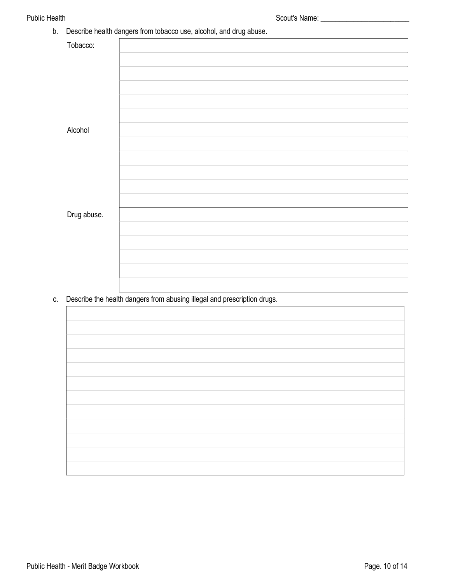| Describe health dangers from tobacco use, alcohol, and drug abuse.<br>b. |             |  |
|--------------------------------------------------------------------------|-------------|--|
|                                                                          | Tobacco:    |  |
|                                                                          |             |  |
|                                                                          |             |  |
|                                                                          |             |  |
|                                                                          |             |  |
|                                                                          |             |  |
|                                                                          | Alcohol     |  |
|                                                                          |             |  |
|                                                                          |             |  |
|                                                                          |             |  |
|                                                                          |             |  |
|                                                                          |             |  |
|                                                                          | Drug abuse. |  |
|                                                                          |             |  |
|                                                                          |             |  |
|                                                                          |             |  |
|                                                                          |             |  |
|                                                                          |             |  |
|                                                                          |             |  |

c. Describe the health dangers from abusing illegal and prescription drugs.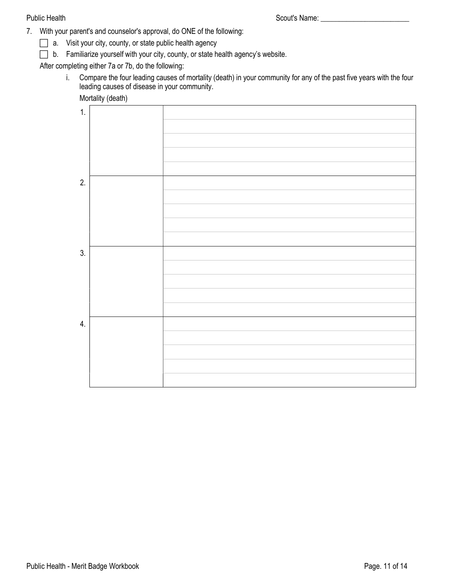- 7. With your parent's and counselor's approval, do ONE of the following:
	- a. Visit your city, county, or state public health agency
	- b. Familiarize yourself with your city, county, or state health agency's website.

After completing either 7a or 7b, do the following:

i. Compare the four leading causes of mortality (death) in your community for any of the past five years with the four leading causes of disease in your community.

Mortality (death)

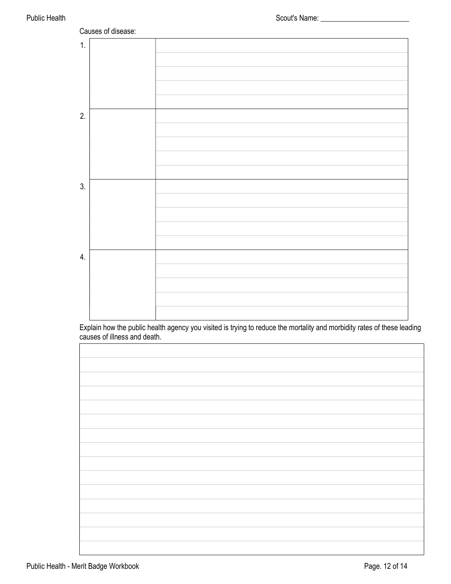

Explain how the public health agency you visited is trying to reduce the mortality and morbidity rates of these leading causes of illness and death.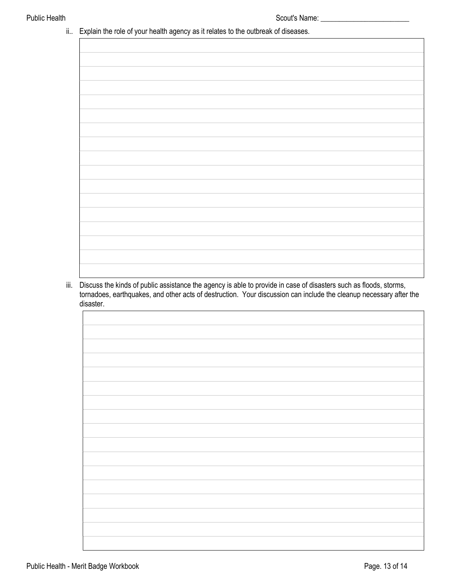#### ii.. Explain the role of your health agency as it relates to the outbreak of diseases.

iii. Discuss the kinds of public assistance the agency is able to provide in case of disasters such as floods, storms, tornadoes, earthquakes, and other acts of destruction. Your discussion can include the cleanup necessary after the disaster.